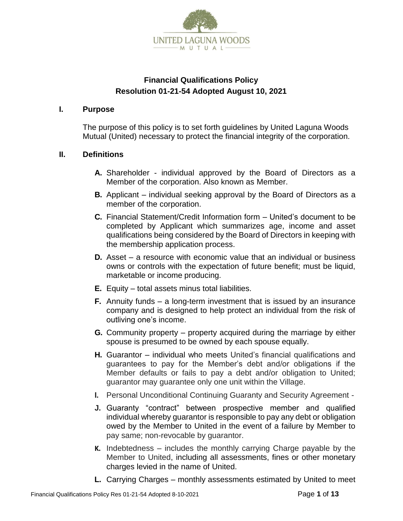

# **Financial Qualifications Policy Resolution 01-21-54 Adopted August 10, 2021**

#### **I. Purpose**

The purpose of this policy is to set forth guidelines by United Laguna Woods Mutual (United) necessary to protect the financial integrity of the corporation.

## **II. Definitions**

- **A.** Shareholder individual approved by the Board of Directors as a Member of the corporation. Also known as Member.
- **B.** Applicant individual seeking approval by the Board of Directors as a member of the corporation.
- **C.** Financial Statement/Credit Information form United's document to be completed by Applicant which summarizes age, income and asset qualifications being considered by the Board of Directors in keeping with the membership application process.
- **D.** Asset a resource with economic value that an individual or business owns or controls with the expectation of future benefit; must be liquid, marketable or income producing.
- **E.** Equity total assets minus total liabilities.
- **F.** Annuity funds a long-term investment that is issued by an insurance company and is designed to help protect an individual from the risk of outliving one's income.
- **G.** Community property property acquired during the marriage by either spouse is presumed to be owned by each spouse equally.
- **H.** Guarantor individual who meets United's financial qualifications and guarantees to pay for the Member's debt and/or obligations if the Member defaults or fails to pay a debt and/or obligation to United; guarantor may guarantee only one unit within the Village.
- **I.** Personal Unconditional Continuing Guaranty and Security Agreement -
- **J.** Guaranty "contract" between prospective member and qualified individual whereby guarantor is responsible to pay any debt or obligation owed by the Member to United in the event of a failure by Member to pay same; non-revocable by guarantor.
- **K.** Indebtedness includes the monthly carrying Charge payable by the Member to United, including all assessments, fines or other monetary charges levied in the name of United.
- **L.** Carrying Charges monthly assessments estimated by United to meet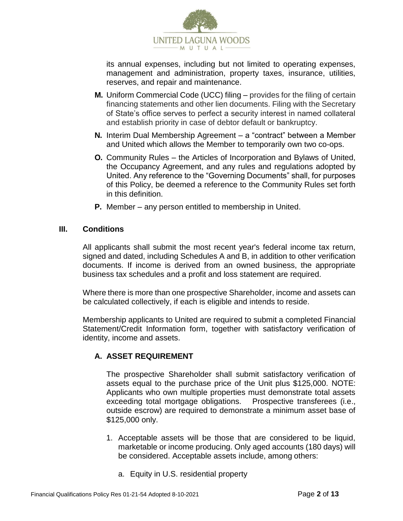

its annual expenses, including but not limited to operating expenses, management and administration, property taxes, insurance, utilities, reserves, and repair and maintenance.

- **M.** Uniform Commercial Code (UCC) filing provides for the filing of certain financing statements and other lien documents. Filing with the Secretary of State's office serves to perfect a security interest in named collateral and establish priority in case of debtor default or bankruptcy.
- **N.** Interim Dual Membership Agreement a "contract" between a Member and United which allows the Member to temporarily own two co-ops.
- **O.** Community Rules the Articles of Incorporation and Bylaws of United, the Occupancy Agreement, and any rules and regulations adopted by United. Any reference to the "Governing Documents" shall, for purposes of this Policy, be deemed a reference to the Community Rules set forth in this definition.
- **P.** Member any person entitled to membership in United.

#### **III. Conditions**

All applicants shall submit the most recent year's federal income tax return, signed and dated, including Schedules A and B, in addition to other verification documents. If income is derived from an owned business, the appropriate business tax schedules and a profit and loss statement are required.

Where there is more than one prospective Shareholder, income and assets can be calculated collectively, if each is eligible and intends to reside.

Membership applicants to United are required to submit a completed Financial Statement/Credit Information form, together with satisfactory verification of identity, income and assets.

## **A. ASSET REQUIREMENT**

The prospective Shareholder shall submit satisfactory verification of assets equal to the purchase price of the Unit plus \$125,000. NOTE: Applicants who own multiple properties must demonstrate total assets exceeding total mortgage obligations. Prospective transferees (i.e., outside escrow) are required to demonstrate a minimum asset base of \$125,000 only.

- 1. Acceptable assets will be those that are considered to be liquid, marketable or income producing. Only aged accounts (180 days) will be considered. Acceptable assets include, among others:
	- a. Equity in U.S. residential property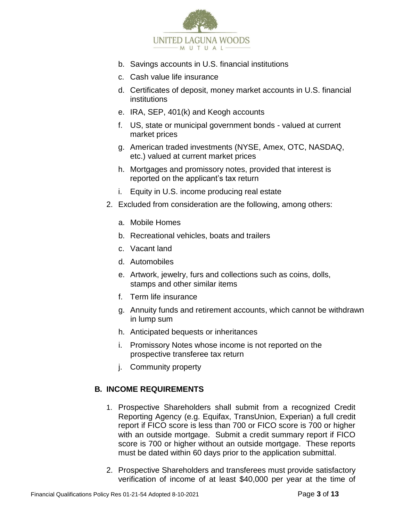

- b. Savings accounts in U.S. financial institutions
- c. Cash value life insurance
- d. Certificates of deposit, money market accounts in U.S. financial institutions
- e. IRA, SEP, 401(k) and Keogh accounts
- f. US, state or municipal government bonds valued at current market prices
- g. American traded investments (NYSE, Amex, OTC, NASDAQ, etc.) valued at current market prices
- h. Mortgages and promissory notes, provided that interest is reported on the applicant's tax return
- i. Equity in U.S. income producing real estate
- 2. Excluded from consideration are the following, among others:
	- a. Mobile Homes
	- b. Recreational vehicles, boats and trailers
	- c. Vacant land
	- d. Automobiles
	- e. Artwork, jewelry, furs and collections such as coins, dolls, stamps and other similar items
	- f. Term life insurance
	- g. Annuity funds and retirement accounts, which cannot be withdrawn in lump sum
	- h. Anticipated bequests or inheritances
	- i. Promissory Notes whose income is not reported on the prospective transferee tax return
	- j. Community property

# **B. INCOME REQUIREMENTS**

- 1. Prospective Shareholders shall submit from a recognized Credit Reporting Agency (e.g. Equifax, TransUnion, Experian) a full credit report if FICO score is less than 700 or FICO score is 700 or higher with an outside mortgage. Submit a credit summary report if FICO score is 700 or higher without an outside mortgage. These reports must be dated within 60 days prior to the application submittal.
- 2. Prospective Shareholders and transferees must provide satisfactory verification of income of at least \$40,000 per year at the time of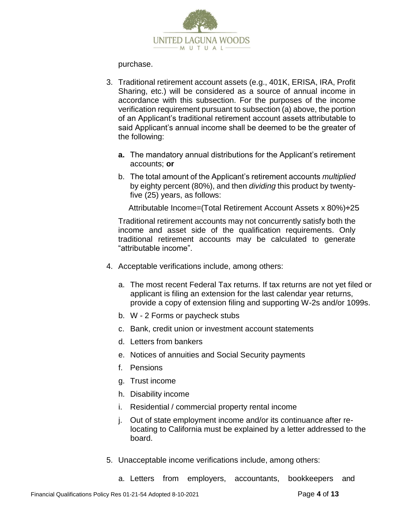

purchase.

- 3. Traditional retirement account assets (e.g., 401K, ERISA, IRA, Profit Sharing, etc.) will be considered as a source of annual income in accordance with this subsection. For the purposes of the income verification requirement pursuant to subsection (a) above, the portion of an Applicant's traditional retirement account assets attributable to said Applicant's annual income shall be deemed to be the greater of the following:
	- **a.** The mandatory annual distributions for the Applicant's retirement accounts; **or**
	- b. The total amount of the Applicant's retirement accounts *multiplied*  by eighty percent (80%), and then *dividing* this product by twentyfive (25) years, as follows:

Attributable Income=(Total Retirement Account Assets x 80%)**÷**25

Traditional retirement accounts may not concurrently satisfy both the income and asset side of the qualification requirements. Only traditional retirement accounts may be calculated to generate "attributable income".

- 4. Acceptable verifications include, among others:
	- a. The most recent Federal Tax returns. If tax returns are not yet filed or applicant is filing an extension for the last calendar year returns, provide a copy of extension filing and supporting W-2s and/or 1099s.
	- b. W 2 Forms or paycheck stubs
	- c. Bank, credit union or investment account statements
	- d. Letters from bankers
	- e. Notices of annuities and Social Security payments
	- f. Pensions
	- g. Trust income
	- h. Disability income
	- i. Residential / commercial property rental income
	- j. Out of state employment income and/or its continuance after relocating to California must be explained by a letter addressed to the board.
- 5. Unacceptable income verifications include, among others:
	- a. Letters from employers, accountants, bookkeepers and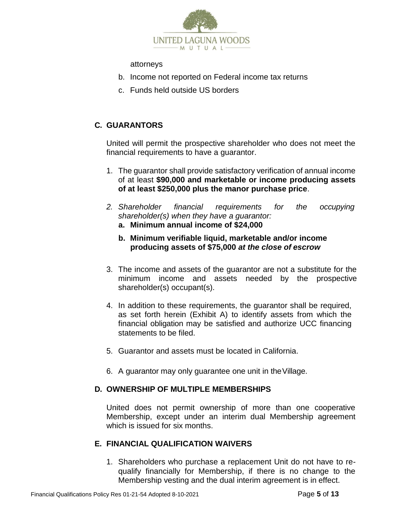

attorneys

- b. Income not reported on Federal income tax returns
- c. Funds held outside US borders

# **C. GUARANTORS**

United will permit the prospective shareholder who does not meet the financial requirements to have a guarantor.

- 1. The guarantor shall provide satisfactory verification of annual income of at least **\$90,000 and marketable or income producing assets of at least \$250,000 plus the manor purchase price**.
- *2. Shareholder financial requirements for the occupying shareholder(s) when they have a guarantor:*
	- **a. Minimum annual income of \$24,000**
	- **b. Minimum verifiable liquid, marketable and/or income producing assets of \$75,000** *at the close of escrow*
- 3. The income and assets of the guarantor are not a substitute for the minimum income and assets needed by the prospective shareholder(s) occupant(s).
- 4. In addition to these requirements, the guarantor shall be required, as set forth herein (Exhibit A) to identify assets from which the financial obligation may be satisfied and authorize UCC financing statements to be filed.
- 5. Guarantor and assets must be located in California.
- 6. A guarantor may only guarantee one unit in theVillage.

# **D. OWNERSHIP OF MULTIPLE MEMBERSHIPS**

United does not permit ownership of more than one cooperative Membership, except under an interim dual Membership agreement which is issued for six months.

# **E. FINANCIAL QUALIFICATION WAIVERS**

1. Shareholders who purchase a replacement Unit do not have to requalify financially for Membership, if there is no change to the Membership vesting and the dual interim agreement is in effect.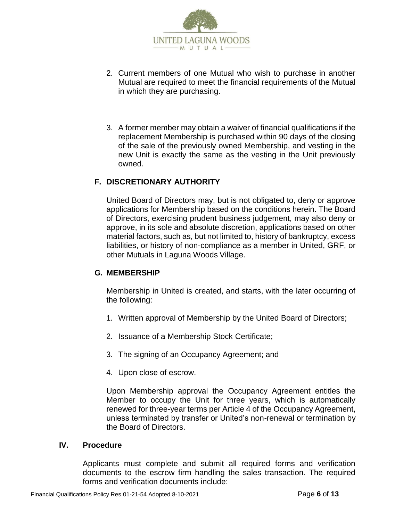

- 2. Current members of one Mutual who wish to purchase in another Mutual are required to meet the financial requirements of the Mutual in which they are purchasing.
- 3. A former member may obtain a waiver of financial qualifications if the replacement Membership is purchased within 90 days of the closing of the sale of the previously owned Membership, and vesting in the new Unit is exactly the same as the vesting in the Unit previously owned.

## **F. DISCRETIONARY AUTHORITY**

United Board of Directors may, but is not obligated to, deny or approve applications for Membership based on the conditions herein. The Board of Directors, exercising prudent business judgement, may also deny or approve, in its sole and absolute discretion, applications based on other material factors, such as, but not limited to, history of bankruptcy, excess liabilities, or history of non-compliance as a member in United, GRF, or other Mutuals in Laguna Woods Village.

## **G. MEMBERSHIP**

Membership in United is created, and starts, with the later occurring of the following:

- 1. Written approval of Membership by the United Board of Directors;
- 2. Issuance of a Membership Stock Certificate;
- 3. The signing of an Occupancy Agreement; and
- 4. Upon close of escrow.

Upon Membership approval the Occupancy Agreement entitles the Member to occupy the Unit for three years, which is automatically renewed for three-year terms per Article 4 of the Occupancy Agreement, unless terminated by transfer or United's non-renewal or termination by the Board of Directors.

#### **IV. Procedure**

Applicants must complete and submit all required forms and verification documents to the escrow firm handling the sales transaction. The required forms and verification documents include: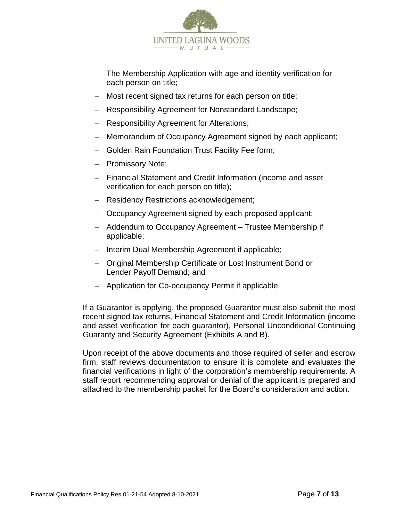

- − The Membership Application with age and identity verification for each person on title;
- − Most recent signed tax returns for each person on title;
- − Responsibility Agreement for Nonstandard Landscape;
- − Responsibility Agreement for Alterations;
- − Memorandum of Occupancy Agreement signed by each applicant;
- − Golden Rain Foundation Trust Facility Fee form;
- − Promissory Note;
- − Financial Statement and Credit Information (income and asset verification for each person on title);
- − Residency Restrictions acknowledgement;
- − Occupancy Agreement signed by each proposed applicant;
- − Addendum to Occupancy Agreement Trustee Membership if applicable;
- − Interim Dual Membership Agreement if applicable;
- − Original Membership Certificate or Lost Instrument Bond or Lender Payoff Demand; and
- − Application for Co-occupancy Permit if applicable.

If a Guarantor is applying, the proposed Guarantor must also submit the most recent signed tax returns, Financial Statement and Credit Information (income and asset verification for each guarantor), Personal Unconditional Continuing Guaranty and Security Agreement (Exhibits A and B).

Upon receipt of the above documents and those required of seller and escrow firm, staff reviews documentation to ensure it is complete and evaluates the financial verifications in light of the corporation's membership requirements. A staff report recommending approval or denial of the applicant is prepared and attached to the membership packet for the Board's consideration and action.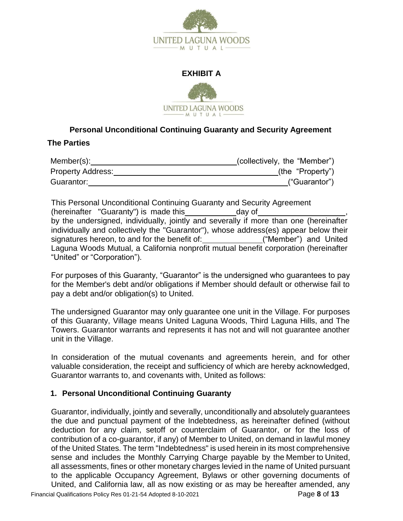

#### **EXHIBIT A**



# **Personal Unconditional Continuing Guaranty and Security Agreement**

#### **The Parties**

| Member(s):               | (collectively, the "Member") |
|--------------------------|------------------------------|
| <b>Property Address:</b> | (the "Property")             |
| Guarantor:               | ("Guarantor")                |

This Personal Unconditional Continuing Guaranty and Security Agreement (hereinafter "Guaranty") is made this day of by the undersigned, individually, jointly and severally if more than one (hereinafter individually and collectively the "Guarantor"), whose address(es) appear below their signatures hereon, to and for the benefit of: \_\_\_\_\_\_\_\_\_\_\_\_\_\_("Member") and United Laguna Woods Mutual, a California nonprofit mutual benefit corporation (hereinafter "United" or "Corporation").

For purposes of this Guaranty, "Guarantor" is the undersigned who guarantees to pay for the Member's debt and/or obligations if Member should default or otherwise fail to pay a debt and/or obligation(s) to United.

The undersigned Guarantor may only guarantee one unit in the Village. For purposes of this Guaranty, Village means United Laguna Woods, Third Laguna Hills, and The Towers. Guarantor warrants and represents it has not and will not guarantee another unit in the Village.

In consideration of the mutual covenants and agreements herein, and for other valuable consideration, the receipt and sufficiency of which are hereby acknowledged, Guarantor warrants to, and covenants with, United as follows:

## **1. Personal Unconditional Continuing Guaranty**

Guarantor, individually, jointly and severally, unconditionally and absolutely guarantees the due and punctual payment of the Indebtedness, as hereinafter defined (without deduction for any claim, setoff or counterclaim of Guarantor, or for the loss of contribution of a co-guarantor, if any) of Member to United, on demand in lawful money of the United States. The term "Indebtedness" is used herein in its most comprehensive sense and includes the Monthly Carrying Charge payable by the Member to United, all assessments, fines or other monetary charges levied in the name of United pursuant to the applicable Occupancy Agreement, Bylaws or other governing documents of United, and California law, all as now existing or as may be hereafter amended, any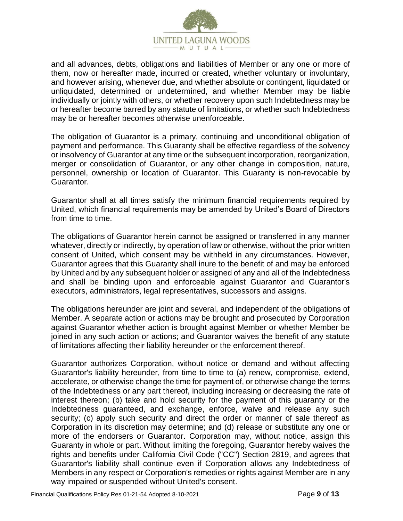

and all advances, debts, obligations and liabilities of Member or any one or more of them, now or hereafter made, incurred or created, whether voluntary or involuntary, and however arising, whenever due, and whether absolute or contingent, liquidated or unliquidated, determined or undetermined, and whether Member may be liable individually or jointly with others, or whether recovery upon such Indebtedness may be or hereafter become barred by any statute of limitations, or whether such Indebtedness may be or hereafter becomes otherwise unenforceable.

The obligation of Guarantor is a primary, continuing and unconditional obligation of payment and performance. This Guaranty shall be effective regardless of the solvency or insolvency of Guarantor at any time or the subsequent incorporation, reorganization, merger or consolidation of Guarantor, or any other change in composition, nature, personnel, ownership or location of Guarantor. This Guaranty is non-revocable by Guarantor.

Guarantor shall at all times satisfy the minimum financial requirements required by United, which financial requirements may be amended by United's Board of Directors from time to time.

The obligations of Guarantor herein cannot be assigned or transferred in any manner whatever, directly or indirectly, by operation of law or otherwise, without the prior written consent of United, which consent may be withheld in any circumstances. However, Guarantor agrees that this Guaranty shall inure to the benefit of and may be enforced by United and by any subsequent holder or assigned of any and all of the Indebtedness and shall be binding upon and enforceable against Guarantor and Guarantor's executors, administrators, legal representatives, successors and assigns.

The obligations hereunder are joint and several, and independent of the obligations of Member. A separate action or actions may be brought and prosecuted by Corporation against Guarantor whether action is brought against Member or whether Member be joined in any such action or actions; and Guarantor waives the benefit of any statute of limitations affecting their liability hereunder or the enforcement thereof.

Guarantor authorizes Corporation, without notice or demand and without affecting Guarantor's liability hereunder, from time to time to (a) renew, compromise, extend, accelerate, or otherwise change the time for payment of, or otherwise change the terms of the Indebtedness or any part thereof, including increasing or decreasing the rate of interest thereon; (b) take and hold security for the payment of this guaranty or the Indebtedness guaranteed, and exchange, enforce, waive and release any such security; (c) apply such security and direct the order or manner of sale thereof as Corporation in its discretion may determine; and (d) release or substitute any one or more of the endorsers or Guarantor. Corporation may, without notice, assign this Guaranty in whole or part. Without limiting the foregoing, Guarantor hereby waives the rights and benefits under California Civil Code ("CC") Section 2819, and agrees that Guarantor's liability shall continue even if Corporation allows any Indebtedness of Members in any respect or Corporation's remedies or rights against Member are in any way impaired or suspended without United's consent.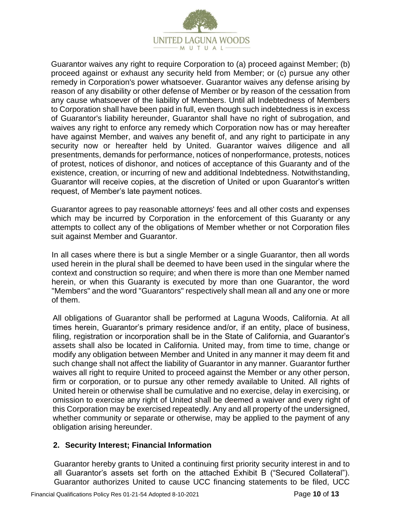

Guarantor waives any right to require Corporation to (a) proceed against Member; (b) proceed against or exhaust any security held from Member; or (c) pursue any other remedy in Corporation's power whatsoever. Guarantor waives any defense arising by reason of any disability or other defense of Member or by reason of the cessation from any cause whatsoever of the liability of Members. Until all Indebtedness of Members to Corporation shall have been paid in full, even though such indebtedness is in excess of Guarantor's liability hereunder, Guarantor shall have no right of subrogation, and waives any right to enforce any remedy which Corporation now has or may hereafter have against Member, and waives any benefit of, and any right to participate in any security now or hereafter held by United. Guarantor waives diligence and all presentments, demands for performance, notices of nonperformance, protests, notices of protest, notices of dishonor, and notices of acceptance of this Guaranty and of the existence, creation, or incurring of new and additional Indebtedness. Notwithstanding, Guarantor will receive copies, at the discretion of United or upon Guarantor's written request, of Member's late payment notices.

Guarantor agrees to pay reasonable attorneys' fees and all other costs and expenses which may be incurred by Corporation in the enforcement of this Guaranty or any attempts to collect any of the obligations of Member whether or not Corporation files suit against Member and Guarantor.

In all cases where there is but a single Member or a single Guarantor, then all words used herein in the plural shall be deemed to have been used in the singular where the context and construction so require; and when there is more than one Member named herein, or when this Guaranty is executed by more than one Guarantor, the word "Members" and the word "Guarantors" respectively shall mean all and any one or more of them.

All obligations of Guarantor shall be performed at Laguna Woods, California. At all times herein, Guarantor's primary residence and/or, if an entity, place of business, filing, registration or incorporation shall be in the State of California, and Guarantor's assets shall also be located in California. United may, from time to time, change or modify any obligation between Member and United in any manner it may deem fit and such change shall not affect the liability of Guarantor in any manner. Guarantor further waives all right to require United to proceed against the Member or any other person, firm or corporation, or to pursue any other remedy available to United. All rights of United herein or otherwise shall be cumulative and no exercise, delay in exercising, or omission to exercise any right of United shall be deemed a waiver and every right of this Corporation may be exercised repeatedly. Any and all property of the undersigned, whether community or separate or otherwise, may be applied to the payment of any obligation arising hereunder.

#### **2. Security Interest; Financial Information**

Guarantor hereby grants to United a continuing first priority security interest in and to all Guarantor's assets set forth on the attached Exhibit B ("Secured Collateral"). Guarantor authorizes United to cause UCC financing statements to be filed, UCC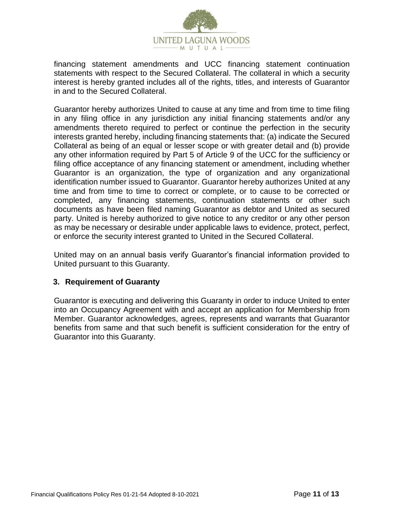

financing statement amendments and UCC financing statement continuation statements with respect to the Secured Collateral. The collateral in which a security interest is hereby granted includes all of the rights, titles, and interests of Guarantor in and to the Secured Collateral.

Guarantor hereby authorizes United to cause at any time and from time to time filing in any filing office in any jurisdiction any initial financing statements and/or any amendments thereto required to perfect or continue the perfection in the security interests granted hereby, including financing statements that: (a) indicate the Secured Collateral as being of an equal or lesser scope or with greater detail and (b) provide any other information required by Part 5 of Article 9 of the UCC for the sufficiency or filing office acceptance of any financing statement or amendment, including whether Guarantor is an organization, the type of organization and any organizational identification number issued to Guarantor. Guarantor hereby authorizes United at any time and from time to time to correct or complete, or to cause to be corrected or completed, any financing statements, continuation statements or other such documents as have been filed naming Guarantor as debtor and United as secured party. United is hereby authorized to give notice to any creditor or any other person as may be necessary or desirable under applicable laws to evidence, protect, perfect, or enforce the security interest granted to United in the Secured Collateral.

United may on an annual basis verify Guarantor's financial information provided to United pursuant to this Guaranty.

## **3. Requirement of Guaranty**

Guarantor is executing and delivering this Guaranty in order to induce United to enter into an Occupancy Agreement with and accept an application for Membership from Member. Guarantor acknowledges, agrees, represents and warrants that Guarantor benefits from same and that such benefit is sufficient consideration for the entry of Guarantor into this Guaranty.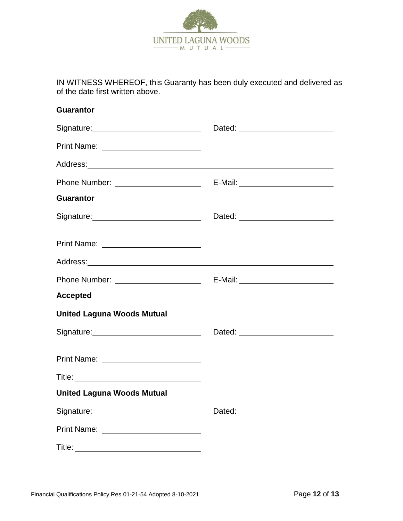

IN WITNESS WHEREOF, this Guaranty has been duly executed and delivered as of the date first written above.

| <b>Guarantor</b>                                                                                               |                                 |
|----------------------------------------------------------------------------------------------------------------|---------------------------------|
| Signature: <u>contained</u>                                                                                    |                                 |
|                                                                                                                |                                 |
|                                                                                                                |                                 |
|                                                                                                                |                                 |
| <b>Guarantor</b>                                                                                               |                                 |
| Signature: <u>Communications</u>                                                                               |                                 |
|                                                                                                                |                                 |
|                                                                                                                |                                 |
|                                                                                                                |                                 |
| <b>Accepted</b>                                                                                                |                                 |
| <b>United Laguna Woods Mutual</b>                                                                              |                                 |
| Signature: Management Contract of Signature:                                                                   |                                 |
| Print Name: Name: Name and Name and Name and Name and Name and Name and Name and Name and Name and Name and Na |                                 |
| Title: <u>www.community.community.com</u>                                                                      |                                 |
| <b>United Laguna Woods Mutual</b>                                                                              |                                 |
|                                                                                                                | Dated: ________________________ |
|                                                                                                                |                                 |
|                                                                                                                |                                 |